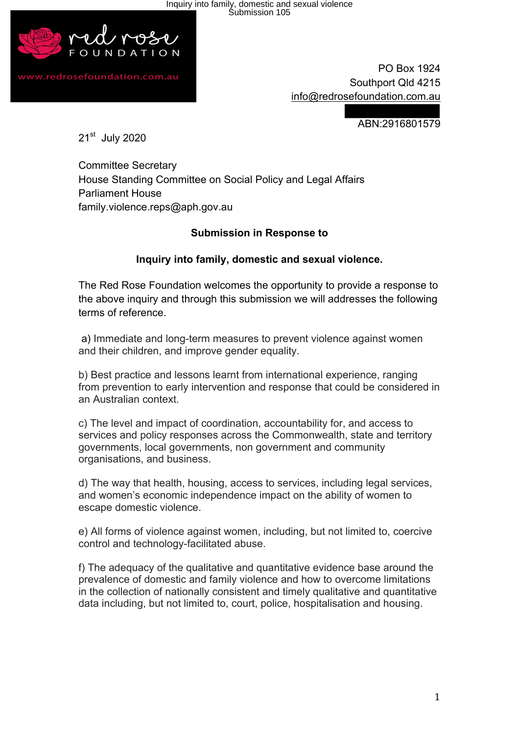Inquiry into family, domestic and sexual violence Submission 105



www.redrosefoundation.com.au

 PO Box 1924 Southport Qld 4215 info@redrosefoundation.com.au

ABN:2916801579

21st July 2020

Committee Secretary House Standing Committee on Social Policy and Legal Affairs Parliament House family.violence.reps@aph.gov.au

# **Submission in Response to**

#### **Inquiry into family, domestic and sexual violence.**

The Red Rose Foundation welcomes the opportunity to provide a response to the above inquiry and through this submission we will addresses the following terms of reference.

a) Immediate and long-term measures to prevent violence against women and their children, and improve gender equality.

b) Best practice and lessons learnt from international experience, ranging from prevention to early intervention and response that could be considered in an Australian context.

c) The level and impact of coordination, accountability for, and access to services and policy responses across the Commonwealth, state and territory governments, local governments, non government and community organisations, and business.

d) The way that health, housing, access to services, including legal services, and women's economic independence impact on the ability of women to escape domestic violence.

e) All forms of violence against women, including, but not limited to, coercive control and technology-facilitated abuse.

f) The adequacy of the qualitative and quantitative evidence base around the prevalence of domestic and family violence and how to overcome limitations in the collection of nationally consistent and timely qualitative and quantitative data including, but not limited to, court, police, hospitalisation and housing.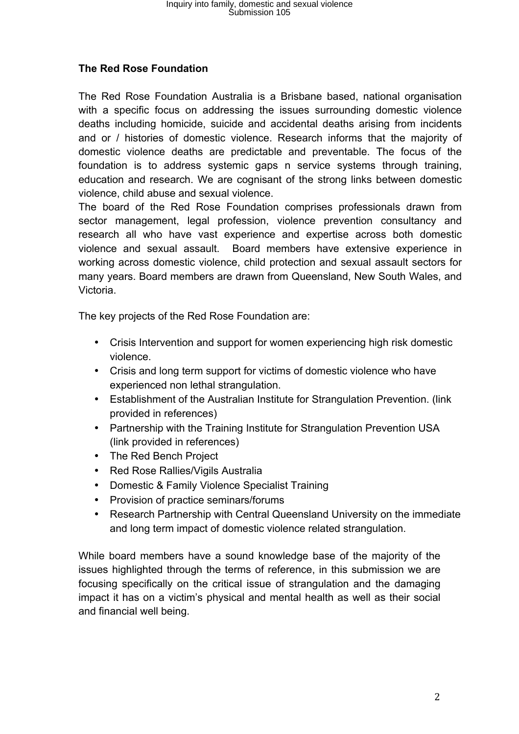# **The Red Rose Foundation**

The Red Rose Foundation Australia is a Brisbane based, national organisation with a specific focus on addressing the issues surrounding domestic violence deaths including homicide, suicide and accidental deaths arising from incidents and or / histories of domestic violence. Research informs that the majority of domestic violence deaths are predictable and preventable. The focus of the foundation is to address systemic gaps n service systems through training, education and research. We are cognisant of the strong links between domestic violence, child abuse and sexual violence.

The board of the Red Rose Foundation comprises professionals drawn from sector management, legal profession, violence prevention consultancy and research all who have vast experience and expertise across both domestic violence and sexual assault. Board members have extensive experience in working across domestic violence, child protection and sexual assault sectors for many years. Board members are drawn from Queensland, New South Wales, and Victoria.

The key projects of the Red Rose Foundation are:

- Crisis Intervention and support for women experiencing high risk domestic violence.
- Crisis and long term support for victims of domestic violence who have experienced non lethal strangulation.
- Establishment of the Australian Institute for Strangulation Prevention. (link provided in references)
- Partnership with the Training Institute for Strangulation Prevention USA (link provided in references)
- The Red Bench Project
- Red Rose Rallies/Vigils Australia
- Domestic & Family Violence Specialist Training
- Provision of practice seminars/forums
- Research Partnership with Central Queensland University on the immediate and long term impact of domestic violence related strangulation.

While board members have a sound knowledge base of the majority of the issues highlighted through the terms of reference, in this submission we are focusing specifically on the critical issue of strangulation and the damaging impact it has on a victim's physical and mental health as well as their social and financial well being.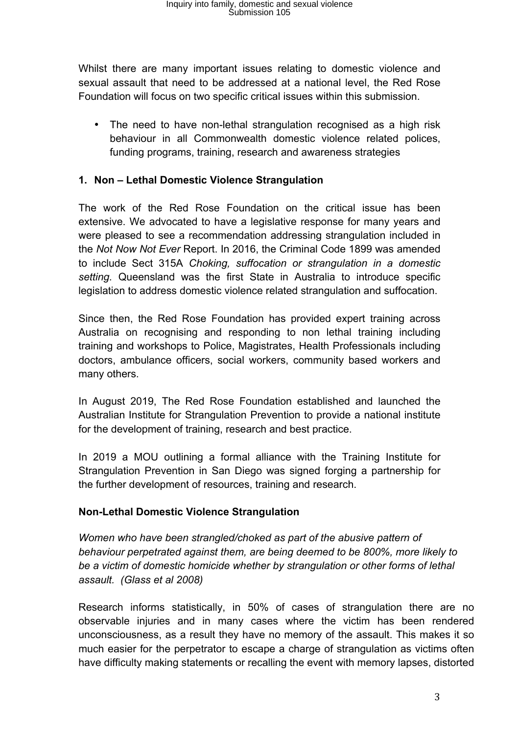Whilst there are many important issues relating to domestic violence and sexual assault that need to be addressed at a national level, the Red Rose Foundation will focus on two specific critical issues within this submission.

• The need to have non-lethal strangulation recognised as a high risk behaviour in all Commonwealth domestic violence related polices, funding programs, training, research and awareness strategies

### **1. Non – Lethal Domestic Violence Strangulation**

The work of the Red Rose Foundation on the critical issue has been extensive. We advocated to have a legislative response for many years and were pleased to see a recommendation addressing strangulation included in the *Not Now Not Ever* Report. In 2016, the Criminal Code 1899 was amended to include Sect 315A *Choking, suffocation or strangulation in a domestic setting.* Queensland was the first State in Australia to introduce specific legislation to address domestic violence related strangulation and suffocation.

Since then, the Red Rose Foundation has provided expert training across Australia on recognising and responding to non lethal training including training and workshops to Police, Magistrates, Health Professionals including doctors, ambulance officers, social workers, community based workers and many others.

In August 2019, The Red Rose Foundation established and launched the Australian Institute for Strangulation Prevention to provide a national institute for the development of training, research and best practice.

In 2019 a MOU outlining a formal alliance with the Training Institute for Strangulation Prevention in San Diego was signed forging a partnership for the further development of resources, training and research.

#### **Non-Lethal Domestic Violence Strangulation**

*Women who have been strangled/choked as part of the abusive pattern of behaviour perpetrated against them, are being deemed to be 800%, more likely to be a victim of domestic homicide whether by strangulation or other forms of lethal assault. (Glass et al 2008)*

Research informs statistically, in 50% of cases of strangulation there are no observable injuries and in many cases where the victim has been rendered unconsciousness, as a result they have no memory of the assault. This makes it so much easier for the perpetrator to escape a charge of strangulation as victims often have difficulty making statements or recalling the event with memory lapses, distorted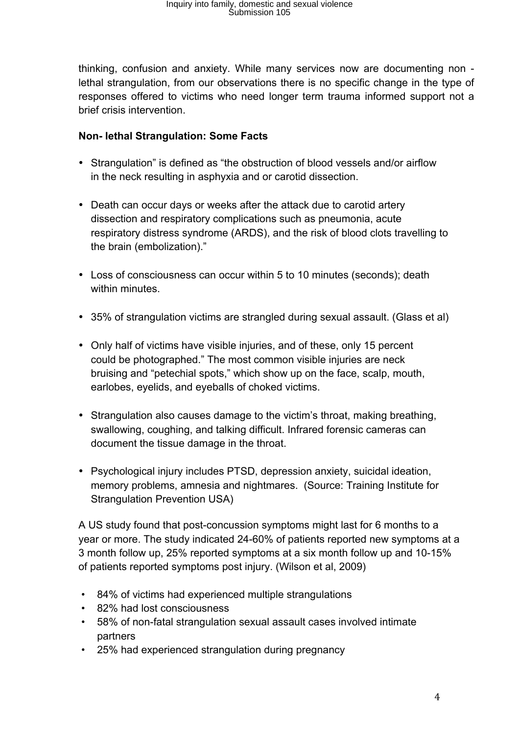thinking, confusion and anxiety. While many services now are documenting non lethal strangulation, from our observations there is no specific change in the type of responses offered to victims who need longer term trauma informed support not a brief crisis intervention.

## **Non- lethal Strangulation: Some Facts**

- Strangulation" is defined as "the obstruction of blood vessels and/or airflow in the neck resulting in asphyxia and or carotid dissection.
- Death can occur days or weeks after the attack due to carotid artery dissection and respiratory complications such as pneumonia, acute respiratory distress syndrome (ARDS), and the risk of blood clots travelling to the brain (embolization)."
- Loss of consciousness can occur within 5 to 10 minutes (seconds); death within minutes.
- 35% of strangulation victims are strangled during sexual assault. (Glass et al)
- Only half of victims have visible injuries, and of these, only 15 percent could be photographed." The most common visible injuries are neck bruising and "petechial spots," which show up on the face, scalp, mouth, earlobes, eyelids, and eyeballs of choked victims.
- Strangulation also causes damage to the victim's throat, making breathing, swallowing, coughing, and talking difficult. Infrared forensic cameras can document the tissue damage in the throat.
- Psychological injury includes PTSD, depression anxiety, suicidal ideation, memory problems, amnesia and nightmares. (Source: Training Institute for Strangulation Prevention USA)

A US study found that post-concussion symptoms might last for 6 months to a year or more. The study indicated 24-60% of patients reported new symptoms at a 3 month follow up, 25% reported symptoms at a six month follow up and 10-15% of patients reported symptoms post injury. (Wilson et al, 2009)

- 84% of victims had experienced multiple strangulations
- 82% had lost consciousness
- 58% of non-fatal strangulation sexual assault cases involved intimate partners
- 25% had experienced strangulation during pregnancy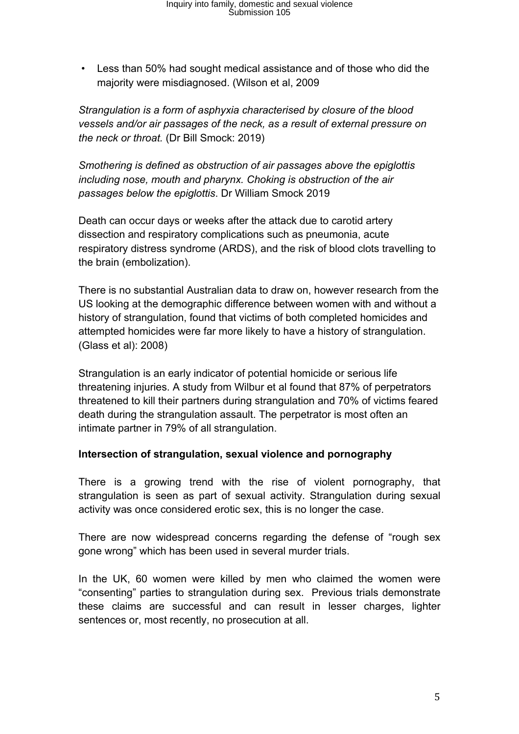• Less than 50% had sought medical assistance and of those who did the majority were misdiagnosed. (Wilson et al, 2009

*Strangulation is a form of asphyxia characterised by closure of the blood vessels and/or air passages of the neck, as a result of external pressure on the neck or throat.* (Dr Bill Smock: 2019)

*Smothering is defined as obstruction of air passages above the epiglottis including nose, mouth and pharynx. Choking is obstruction of the air passages below the epiglottis*. Dr William Smock 2019

Death can occur days or weeks after the attack due to carotid artery dissection and respiratory complications such as pneumonia, acute respiratory distress syndrome (ARDS), and the risk of blood clots travelling to the brain (embolization).

There is no substantial Australian data to draw on, however research from the US looking at the demographic difference between women with and without a history of strangulation, found that victims of both completed homicides and attempted homicides were far more likely to have a history of strangulation. (Glass et al): 2008)

Strangulation is an early indicator of potential homicide or serious life threatening injuries. A study from Wilbur et al found that 87% of perpetrators threatened to kill their partners during strangulation and 70% of victims feared death during the strangulation assault. The perpetrator is most often an intimate partner in 79% of all strangulation.

#### **Intersection of strangulation, sexual violence and pornography**

There is a growing trend with the rise of violent pornography, that strangulation is seen as part of sexual activity. Strangulation during sexual activity was once considered erotic sex, this is no longer the case.

There are now widespread concerns regarding the defense of "rough sex gone wrong" which has been used in several murder trials.

In the UK, 60 women were killed by men who claimed the women were "consenting" parties to strangulation during sex. Previous trials demonstrate these claims are successful and can result in lesser charges, lighter sentences or, most recently, no prosecution at all.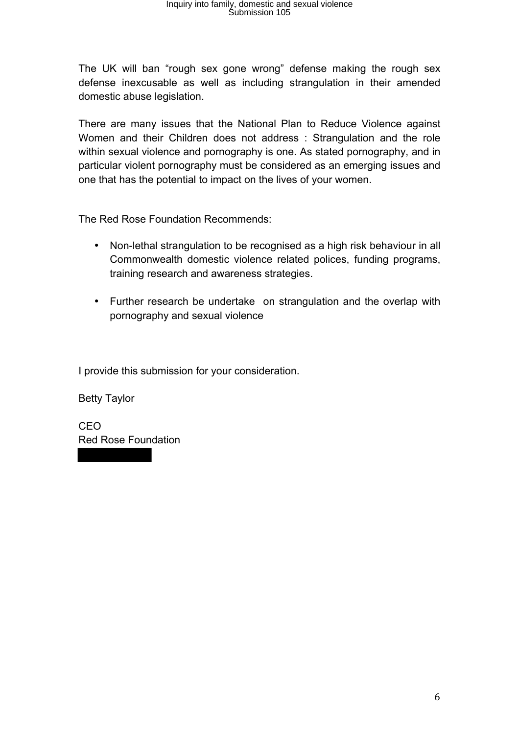The UK will ban "rough sex gone wrong" defense making the rough sex defense inexcusable as well as including strangulation in their amended domestic abuse legislation.

There are many issues that the National Plan to Reduce Violence against Women and their Children does not address : Strangulation and the role within sexual violence and pornography is one. As stated pornography, and in particular violent pornography must be considered as an emerging issues and one that has the potential to impact on the lives of your women.

The Red Rose Foundation Recommends:

- Non-lethal strangulation to be recognised as a high risk behaviour in all Commonwealth domestic violence related polices, funding programs, training research and awareness strategies.
- Further research be undertake on strangulation and the overlap with pornography and sexual violence

I provide this submission for your consideration.

Betty Taylor

CEO Red Rose Foundation